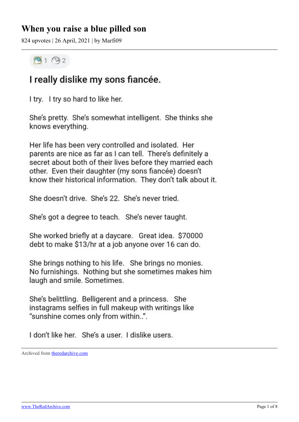## **When you raise a blue pilled son**

824 upvotes | 26 April, 2021 | by Marfi09

## $9192$

## I really dislike my sons fiancée.

I try. I try so hard to like her.

She's pretty. She's somewhat intelligent. She thinks she knows everything.

Her life has been very controlled and isolated. Her parents are nice as far as I can tell. There's definitely a secret about both of their lives before they married each other. Even their daughter (my sons fiancée) doesn't know their historical information. They don't talk about it.

She doesn't drive. She's 22. She's never tried.

She's got a degree to teach. She's never taught.

She worked briefly at a daycare. Great idea. \$70000 debt to make \$13/hr at a job anyone over 16 can do.

She brings nothing to his life. She brings no monies. No furnishings. Nothing but she sometimes makes him laugh and smile. Sometimes.

She's belittling. Belligerent and a princess. She instagrams selfies in full makeup with writings like "sunshine comes only from within..".

I don't like her. She's a user. I dislike users.

Archived from [theredarchive.com](https://theredarchive.com/r/MGTOW/when-you-raise-a-blue-pilled-son.761067)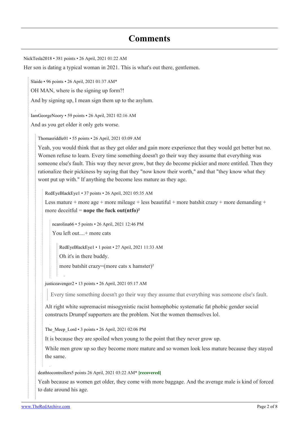## **Comments**

[NickTesla2018](https://old.reddit.com/user/NickTesla2018) • 381 points • 26 April, 2021 01:22 AM Her son is dating a typical woman in 2021. This is what's out there, gentlemen. [Slaide](https://old.reddit.com/user/Slaide) • 96 points • 26 April, 2021 01:37 AM\* OH MAN, where is the signing up form?! And by signing up, I mean sign them up to the asylum. [IamGeorgeNoory](https://old.reddit.com/user/IamGeorgeNoory) • 59 points • 26 April, 2021 02:16 AM And as you get older it only gets worse. [Thomasriddle01](https://old.reddit.com/user/Thomasriddle01) • 55 points • 26 April, 2021 03:09 AM Yeah, you would think that as they get older and gain more experience that they would get better but no. Women refuse to learn. Every time something doesn't go their way they assume that everything was someone else's fault. This way they never grow, but they do become pickier and more entitled. Then they rationalize their pickiness by saying that they "now know their worth," and that "they know what they wont put up with." If anything the become less mature as they age. [RedEyeBlackEye1](https://old.reddit.com/user/RedEyeBlackEye1) • 37 points • 26 April, 2021 05:35 AM Less mature + more age + more mileage + less beautiful + more batshit crazy + more demanding + more deceitful = **nope the fuck out(ntfo)²**

[ncarolina66](https://old.reddit.com/user/ncarolina66) • 5 points • 26 April, 2021 12:46 PM

You left out....+ more cats

[RedEyeBlackEye1](https://old.reddit.com/user/RedEyeBlackEye1) • 1 point • 27 April, 2021 11:33 AM

Oh it's in there buddy.

more batshit crazy=(more cats x hamster)²

[justiceavenger2](https://old.reddit.com/user/justiceavenger2) • 13 points • 26 April, 2021 05:17 AM

Every time something doesn't go their way they assume that everything was someone else's fault.

Alt right white supremacist misogynistic racist homophobic systematic fat phobic gender social constructs Drumpf supporters are the problem. Not the women themselves lol.

[The\\_Meep\\_Lord](https://old.reddit.com/user/The_Meep_Lord) • 3 points • 26 April, 2021 02:06 PM

It is because they are spoiled when young to the point that they never grow up.

While men grow up so they become more mature and so women look less mature because they stayed the same.

[deathtocontrollers](https://old.reddit.com/user/deathtocontrollers)5 points 26 April, 2021 03:22 AM\* **[recovered]**

Yeah because as women get older, they come with more baggage. And the average male is kind of forced to date around his age.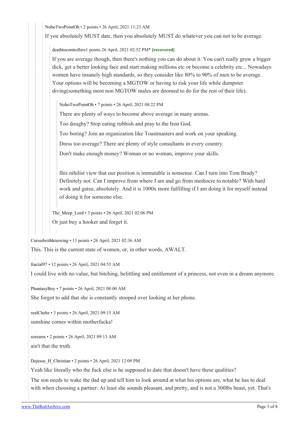[NohoTwoPointOh](https://old.reddit.com/user/NohoTwoPointOh) • 2 points • 26 April, 2021 11:23 AM

If you absolutely MUST date, then you absolutely MUST do whatever you can not to be average.

[deathtocontrollers1](https://old.reddit.com/user/deathtocontrollers) points 26 April, 2021 02:52 PM\* **[recovered]**

If you are average though, then there's nothing you can do about it. You can't really grow a bigger dick, get a better looking face and start making millions etc or become a celebrity etc... Nowadays women have insanely high standards, so they consider like 80% to 90% of men to be average. Your options will be becoming a MGTOW or having to risk your life while dumpster diving(something most non MGTOW males are doomed to do for the rest of their life).

[NohoTwoPointOh](https://old.reddit.com/user/NohoTwoPointOh) • 7 points • 26 April, 2021 08:22 PM

There are plenty of ways to become above average in many arenas.

Too doughy? Stop eating rubbish and pray to the Iron God.

Too boring? Join an organization like Toastmasters and work on your speaking.

Dress too average? There are plenty of style consultants in every country.

Don't make enough money? Woman or no woman, improve your skills.

Ihis nihilist view that our position is immutable is nonsense. Can I turn into Tom Brady? Definitely not. Can I improve from where I am and go from mediocre to notable? With hard work and gatsu, absolutely. And it is 1000x more fulfilling if I am doing it for myself instead of doing it for someone else.

The Meep Lord • 3 points • 26 April, 2021 02:06 PM Or just buy a hooker and forget it.

[Cursedwithknowing](https://old.reddit.com/user/Cursedwithknowing) • 13 points • 26 April, 2021 02:36 AM

This. This is the current state of women, or, in other words, AWALT.

[fractal97](https://old.reddit.com/user/fractal97) • 12 points • 26 April, 2021 04:55 AM

I could live with no value, but bitching, belittling and entitlement of a princess, not even in a dream anymore.

[PhantasyBoy](https://old.reddit.com/user/PhantasyBoy) • 7 points • 26 April, 2021 08:00 AM

She forgot to add that she is constantly stooped over looking at her phone.

[realChebz](https://old.reddit.com/user/realChebz) • 3 points • 26 April, 2021 09:15 AM sunshine comes within motherfacka!

[sorearm](https://old.reddit.com/user/sorearm) • 2 points • 26 April, 2021 09:13 AM ain't that the truth

[Dejesus\\_H\\_Christian](https://old.reddit.com/user/Dejesus_H_Christian) • 2 points • 26 April, 2021 12:09 PM

Yeah like literally who the fuck else is he supposed to date that doesn't have these qualities?

The son needs to wake the dad up and tell him to look around at what his options are, what he has to deal with when choosing a partner. At least she sounds pleasant, and pretty, and is not a 300lbs beast, yet. That's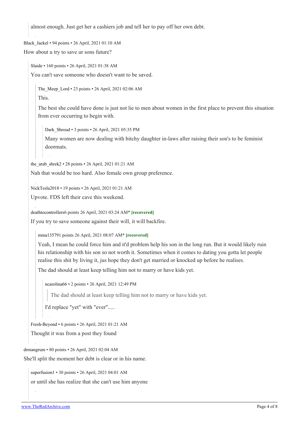almost enough. Just get her a cashiers job and tell her to pay off her own debt.

[Black\\_Jackel](https://old.reddit.com/user/Black_Jackel) • 94 points • 26 April, 2021 01:10 AM

How about u try to save ur sons future?

[Slaide](https://old.reddit.com/user/Slaide) • 160 points • 26 April, 2021 01:38 AM You can't save someone who doesn't want to be saved.

[The\\_Meep\\_Lord](https://old.reddit.com/user/The_Meep_Lord) • 23 points • 26 April, 2021 02:06 AM

This.

The best she could have done is just not lie to men about women in the first place to prevent this situation from ever occurring to begin with.

[Dark\\_Shroud](https://old.reddit.com/user/Dark_Shroud) • 3 points • 26 April, 2021 05:35 PM

Many women are now dealing with bitchy daughter in-laws after raising their son's to be feminist doormats.

the arab shrek2 • 28 points • 26 April, 2021 01:21 AM

Nah that would be too hard. Also female own group preference.

[NickTesla2018](https://old.reddit.com/user/NickTesla2018) • 19 points • 26 April, 2021 01:21 AM

Upvote. FDS left their cave this weekend.

[deathtocontrollers6](https://old.reddit.com/user/deathtocontrollers) points 26 April, 2021 03:24 AM\* **[recovered]**

If you try to save someone against their will, it will backfire.

[mma13579](https://old.reddit.com/user/mma13579)1 points 26 April, 2021 08:07 AM\* **[recovered]**

Yeah, I mean he could force him and it'd problem help his son in the long run. But it would likely ruin his relationship with his son so not worth it. Sometimes when it comes to dating you gotta let people realise this shit by living it, jus hope they don't get married or knocked up before he realises.

The dad should at least keep telling him not to marry or have kids yet.

[ncarolina66](https://old.reddit.com/user/ncarolina66) • 2 points • 26 April, 2021 12:49 PM

The dad should at least keep telling him not to marry or have kids yet.

I'd replace "yet" with "ever".....

[Fresh-Beyond](https://old.reddit.com/user/Fresh-Beyond) • 6 points • 26 April, 2021 01:21 AM

Thought it was from a post they found

[drmangrum](https://old.reddit.com/user/drmangrum) • 80 points • 26 April, 2021 02:04 AM

She'll split the moment her debt is clear or in his name.

[superfusion1](https://old.reddit.com/user/superfusion1) • 30 points • 26 April, 2021 04:01 AM

or until she has realize that she can't use him anyone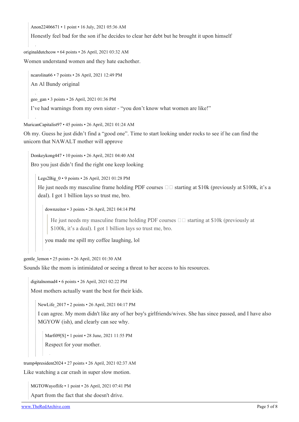[Anon22406671](https://old.reddit.com/user/Anon22406671) • 1 point • 16 July, 2021 05:36 AM

Honestly feel bad for the son if he decides to clear her debt but he brought it upon himself

[originaldutchcow](https://old.reddit.com/user/originaldutchcow) • 64 points • 26 April, 2021 03:32 AM

Women understand women and they hate eachother.

[ncarolina66](https://old.reddit.com/user/ncarolina66) • 7 points • 26 April, 2021 12:49 PM

An Al Bundy original

[geo\\_gan](https://old.reddit.com/user/geo_gan) • 3 points • 26 April, 2021 01:36 PM

I've had warnings from my own sister - "you don't know what women are like!"

[MuricanCapitalist97](https://old.reddit.com/user/MuricanCapitalist97) • 45 points • 26 April, 2021 01:24 AM

Oh my. Guess he just didn't find a "good one". Time to start looking under rocks to see if he can find the unicorn that NAWALT mother will approve

[Donkeykong447](https://old.reddit.com/user/Donkeykong447) • 10 points • 26 April, 2021 04:40 AM

Bro you just didn't find the right one keep looking

[Legs2Big\\_0](https://old.reddit.com/user/Legs2Big_0) • 9 points • 26 April, 2021 01:28 PM

He just needs my masculine frame holding PDF courses  $\Box \Box$  starting at \$10k (previously at \$100k, it's a deal). I got 1 billion lays so trust me, bro.

[downzeitor](https://old.reddit.com/user/downzeitor) • 3 points • 26 April, 2021 04:14 PM

He just needs my masculine frame holding PDF courses  $\Box$  is starting at \$10k (previously at \$100k, it's a deal). I got 1 billion lays so trust me, bro.

you made me spill my coffee laughing, lol

[gentle\\_lemon](https://old.reddit.com/user/gentle_lemon) • 25 points • 26 April, 2021 01:30 AM

Sounds like the mom is intimidated or seeing a threat to her access to his resources.

[digitalnomad4](https://old.reddit.com/user/digitalnomad4) • 6 points • 26 April, 2021 02:22 PM

Most mothers actually want the best for their kids.

[NewLife\\_2017](https://old.reddit.com/user/NewLife_2017) • 2 points • 26 April, 2021 04:17 PM

I can agree. My mom didn't like any of her boy's girlfriends/wives. She has since passed, and I have also MGYOW (ish), and clearly can see why.

[Marfi09](https://old.reddit.com/user/Marfi09)[\[S](https://theredarchive.com/r/MGTOW/comments/mym76d/when_you_raise_a_blue_pilled_son/)] • 1 point • 28 June, 2021 11:55 PM Respect for your mother.

[trump4president2024](https://old.reddit.com/user/trump4president2024) • 27 points • 26 April, 2021 02:37 AM

Like watching a car crash in super slow motion.

[MGTOWayoflife](https://old.reddit.com/user/MGTOWayoflife) • 1 point • 26 April, 2021 07:41 PM

Apart from the fact that she doesn't drive.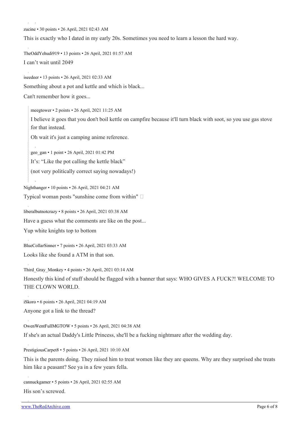[zucine](https://old.reddit.com/user/zucine) • 30 points • 26 April, 2021 02:43 AM

This is exactly who I dated in my early 20s. Sometimes you need to learn a lesson the hard way.

[TheOddYehudi919](https://old.reddit.com/user/TheOddYehudi919) • 13 points • 26 April, 2021 01:57 AM I can't wait until 2049

[iseedeer](https://old.reddit.com/user/iseedeer) • 13 points • 26 April, 2021 02:33 AM

Something about a pot and kettle and which is black...

Can't remember how it goes...

[meegtower](https://old.reddit.com/user/meegtower) • 2 points • 26 April, 2021 11:25 AM

I believe it goes that you don't boil kettle on campfire because it'll turn black with soot, so you use gas stove for that instead.

Oh wait it's just a camping anime reference.

[geo\\_gan](https://old.reddit.com/user/geo_gan) • 1 point • 26 April, 2021 01:42 PM

It's: "Like the pot calling the kettle black"

(not very politically correct saying nowadays!)

[Nighthanger](https://old.reddit.com/user/Nighthanger) • 10 points • 26 April, 2021 04:21 AM

Typical woman posts "sunshine come from within"

[liberalbutnotcrazy](https://old.reddit.com/user/liberalbutnotcrazy) • 8 points • 26 April, 2021 03:38 AM

Have a guess what the comments are like on the post...

Yup white knights top to bottom

[BlueCollarSinner](https://old.reddit.com/user/BlueCollarSinner) • 7 points • 26 April, 2021 03:33 AM

Looks like she found a ATM in that son.

[Third\\_Gray\\_Monkey](https://old.reddit.com/user/Third_Gray_Monkey) • 4 points • 26 April, 2021 03:14 AM

Honestly this kind of stuff should be flagged with a banner that says: WHO GIVES A FUCK?! WELCOME TO THE CLOWN WORLD.

[iSkoro](https://old.reddit.com/user/iSkoro) • 6 points • 26 April, 2021 04:19 AM

Anyone got a link to the thread?

[OwenWentFullMGTOW](https://old.reddit.com/user/OwenWentFullMGTOW) • 5 points • 26 April, 2021 04:38 AM

If she's an actual Daddy's Little Princess, she'll be a fucking nightmare after the wedding day.

[PrestigiousCarpet8](https://old.reddit.com/user/PrestigiousCarpet8) • 5 points • 26 April, 2021 10:10 AM

This is the parents doing. They raised him to treat women like they are queens. Why are they surprised she treats him like a peasant? See ya in a few years fella.

[cannuckgamer](https://old.reddit.com/user/cannuckgamer) • 5 points • 26 April, 2021 02:55 AM His son's screwed.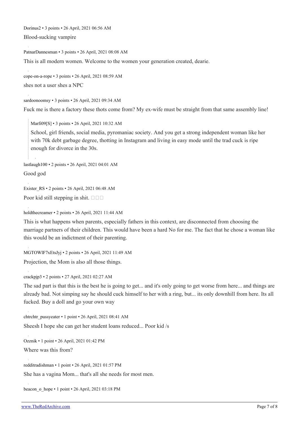[Dorinus2](https://old.reddit.com/user/Dorinus2) • 3 points • 26 April, 2021 06:56 AM

Blood-sucking vampire

[PatnarDannesman](https://old.reddit.com/user/PatnarDannesman) • 3 points • 26 April, 2021 08:08 AM

This is all modern women. Welcome to the women your generation created, dearie.

[cope-on-a-rope](https://old.reddit.com/user/cope-on-a-rope) • 3 points • 26 April, 2021 08:59 AM shes not a user shes a NPC

[sardoonoomsy](https://old.reddit.com/user/sardoonoomsy) • 3 points • 26 April, 2021 09:34 AM

Fuck me is there a factory these thots come from? My ex-wife must be straight from that same assembly line!

[Marfi09\[](https://old.reddit.com/user/Marfi09)[S\]](https://theredarchive.com/r/MGTOW/comments/mym76d/when_you_raise_a_blue_pilled_son/) • 3 points • 26 April, 2021 10:32 AM

School, girl friends, social media, pyromaniac society. And you get a strong independent woman like her with 70k debt garbage degree, thotting in Instagram and living in easy mode until the trad cuck is ripe enough for divorce in the 30s.

[lastlaugh100](https://old.reddit.com/user/lastlaugh100) • 2 points • 26 April, 2021 04:01 AM Good god

[Exister\\_RS](https://old.reddit.com/user/Exister_RS) • 2 points • 26 April, 2021 06:48 AM Poor kid still stepping in shit.  $\square \square \square$ 

[holdthecreamer](https://old.reddit.com/user/holdthecreamer) • 2 points • 26 April, 2021 11:44 AM

This is what happens when parents, especially fathers in this context, are disconnected from choosing the marriage partners of their children. This would have been a hard No for me. The fact that he chose a woman like this would be an indictment of their parenting.

[MGTOWlF7xEtsJyj](https://old.reddit.com/user/MGTOWlF7xEtsJyj) • 2 points • 26 April, 2021 11:49 AM

Projection, the Mom is also all those things.

[crackpjp3](https://old.reddit.com/user/crackpjp3) • 2 points • 27 April, 2021 02:27 AM

The sad part is that this is the best he is going to get... and it's only going to get worse from here... and things are already bad. Not simping say he should cuck himself to her with a ring, but... its only downhill from here. Its all fucked. Buy a doll and go your own way

[chtrchtr\\_pussyeater](https://old.reddit.com/user/chtrchtr_pussyeater) • 1 point • 26 April, 2021 08:41 AM Sheesh I hope she can get her student loans reduced... Poor kid /s

[Ozznik](https://old.reddit.com/user/Ozznik) • 1 point • 26 April, 2021 01:42 PM Where was this from?

[redditradishman](https://old.reddit.com/user/redditradishman) • 1 point • 26 April, 2021 01:57 PM

She has a vagina Mom... that's all she needs for most men.

[beacon\\_o\\_hope](https://old.reddit.com/user/beacon_o_hope) • 1 point • 26 April, 2021 03:18 PM